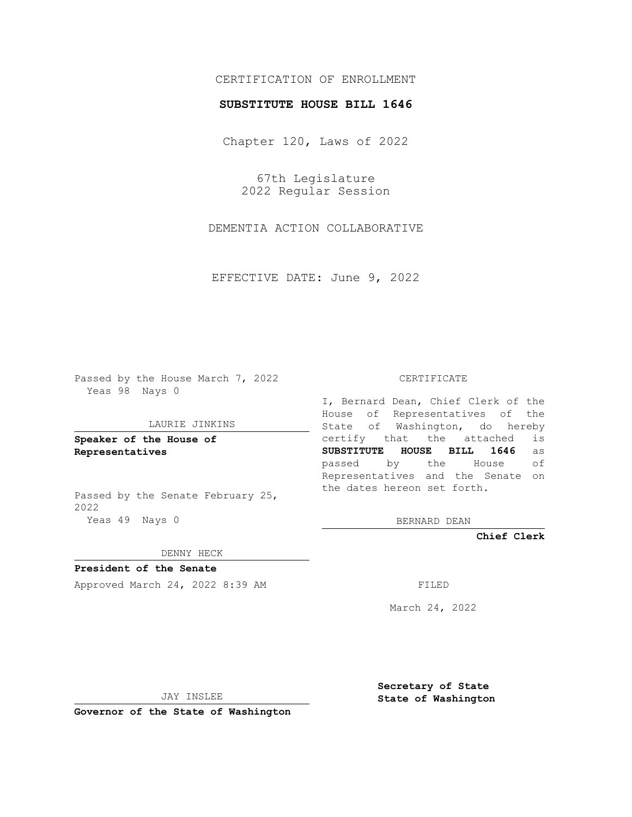## CERTIFICATION OF ENROLLMENT

### **SUBSTITUTE HOUSE BILL 1646**

Chapter 120, Laws of 2022

67th Legislature 2022 Regular Session

DEMENTIA ACTION COLLABORATIVE

EFFECTIVE DATE: June 9, 2022

Passed by the House March 7, 2022 Yeas 98 Nays 0

#### LAURIE JINKINS

**Speaker of the House of Representatives**

Passed by the Senate February 25, 2022 Yeas 49 Nays 0

### CERTIFICATE

I, Bernard Dean, Chief Clerk of the House of Representatives of the State of Washington, do hereby certify that the attached is **SUBSTITUTE HOUSE BILL 1646** as passed by the House of Representatives and the Senate on the dates hereon set forth.

BERNARD DEAN

**Chief Clerk**

DENNY HECK

**President of the Senate**

Approved March 24, 2022 8:39 AM FILED

March 24, 2022

JAY INSLEE

**Secretary of State State of Washington**

**Governor of the State of Washington**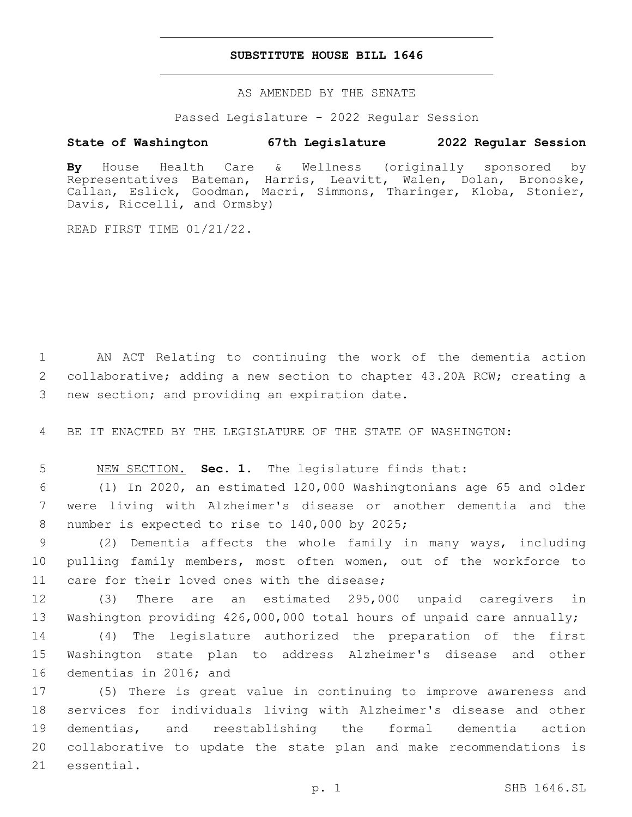### **SUBSTITUTE HOUSE BILL 1646**

AS AMENDED BY THE SENATE

Passed Legislature - 2022 Regular Session

# **State of Washington 67th Legislature 2022 Regular Session**

**By** House Health Care & Wellness (originally sponsored by Representatives Bateman, Harris, Leavitt, Walen, Dolan, Bronoske, Callan, Eslick, Goodman, Macri, Simmons, Tharinger, Kloba, Stonier, Davis, Riccelli, and Ormsby)

READ FIRST TIME 01/21/22.

1 AN ACT Relating to continuing the work of the dementia action 2 collaborative; adding a new section to chapter 43.20A RCW; creating a 3 new section; and providing an expiration date.

4 BE IT ENACTED BY THE LEGISLATURE OF THE STATE OF WASHINGTON:

5 NEW SECTION. **Sec. 1.** The legislature finds that:

6 (1) In 2020, an estimated 120,000 Washingtonians age 65 and older 7 were living with Alzheimer's disease or another dementia and the 8 number is expected to rise to 140,000 by 2025;

9 (2) Dementia affects the whole family in many ways, including 10 pulling family members, most often women, out of the workforce to 11 care for their loved ones with the disease;

12 (3) There are an estimated 295,000 unpaid caregivers in 13 Washington providing 426,000,000 total hours of unpaid care annually;

14 (4) The legislature authorized the preparation of the first 15 Washington state plan to address Alzheimer's disease and other 16 dementias in 2016; and

 (5) There is great value in continuing to improve awareness and services for individuals living with Alzheimer's disease and other dementias, and reestablishing the formal dementia action collaborative to update the state plan and make recommendations is 21 essential.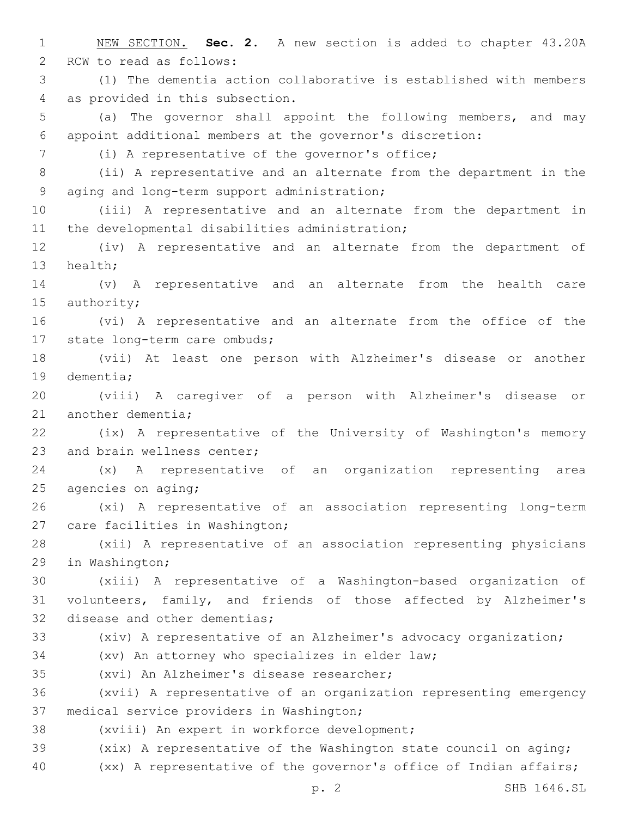1 NEW SECTION. **Sec. 2.** A new section is added to chapter 43.20A 2 RCW to read as follows: 3 (1) The dementia action collaborative is established with members 4 as provided in this subsection. 5 (a) The governor shall appoint the following members, and may 6 appoint additional members at the governor's discretion: (i) A representative of the governor's office;7 8 (ii) A representative and an alternate from the department in the 9 aging and long-term support administration; 10 (iii) A representative and an alternate from the department in 11 the developmental disabilities administration; 12 (iv) A representative and an alternate from the department of 13 health; 14 (v) A representative and an alternate from the health care 15 authority; 16 (vi) A representative and an alternate from the office of the 17 state long-term care ombuds; 18 (vii) At least one person with Alzheimer's disease or another 19 dementia; 20 (viii) A caregiver of a person with Alzheimer's disease or 21 another dementia; 22 (ix) A representative of the University of Washington's memory 23 and brain wellness center; 24 (x) A representative of an organization representing area 25 agencies on aging; 26 (xi) A representative of an association representing long-term 27 care facilities in Washington; 28 (xii) A representative of an association representing physicians 29 in Washington; 30 (xiii) A representative of a Washington-based organization of 31 volunteers, family, and friends of those affected by Alzheimer's 32 disease and other dementias; 33 (xiv) A representative of an Alzheimer's advocacy organization; 34 (xv) An attorney who specializes in elder law; 35 (xvi) An Alzheimer's disease researcher; 36 (xvii) A representative of an organization representing emergency 37 medical service providers in Washington; 38 (xviii) An expert in workforce development; 39 (xix) A representative of the Washington state council on aging; 40 (xx) A representative of the governor's office of Indian affairs;

p. 2 SHB 1646.SL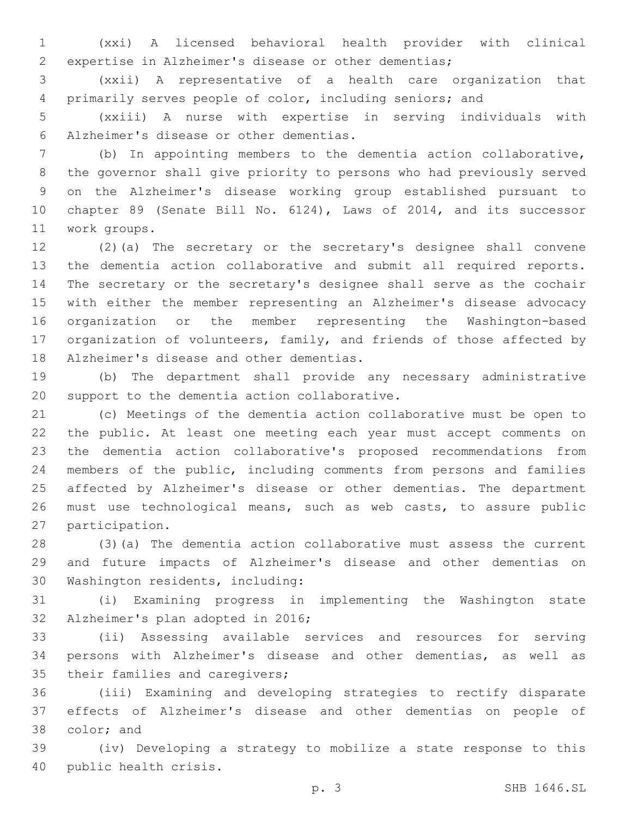(xxi) A licensed behavioral health provider with clinical expertise in Alzheimer's disease or other dementias;

 (xxii) A representative of a health care organization that primarily serves people of color, including seniors; and

 (xxiii) A nurse with expertise in serving individuals with Alzheimer's disease or other dementias.6

 (b) In appointing members to the dementia action collaborative, the governor shall give priority to persons who had previously served on the Alzheimer's disease working group established pursuant to chapter 89 (Senate Bill No. 6124), Laws of 2014, and its successor work groups.11

 (2)(a) The secretary or the secretary's designee shall convene the dementia action collaborative and submit all required reports. The secretary or the secretary's designee shall serve as the cochair with either the member representing an Alzheimer's disease advocacy organization or the member representing the Washington-based organization of volunteers, family, and friends of those affected by 18 Alzheimer's disease and other dementias.

 (b) The department shall provide any necessary administrative 20 support to the dementia action collaborative.

 (c) Meetings of the dementia action collaborative must be open to the public. At least one meeting each year must accept comments on the dementia action collaborative's proposed recommendations from members of the public, including comments from persons and families affected by Alzheimer's disease or other dementias. The department must use technological means, such as web casts, to assure public 27 participation.

 (3)(a) The dementia action collaborative must assess the current and future impacts of Alzheimer's disease and other dementias on 30 Washington residents, including:

 (i) Examining progress in implementing the Washington state 32 Alzheimer's plan adopted in 2016;

 (ii) Assessing available services and resources for serving persons with Alzheimer's disease and other dementias, as well as 35 their families and caregivers;

 (iii) Examining and developing strategies to rectify disparate effects of Alzheimer's disease and other dementias on people of 38 color; and

 (iv) Developing a strategy to mobilize a state response to this 40 public health crisis.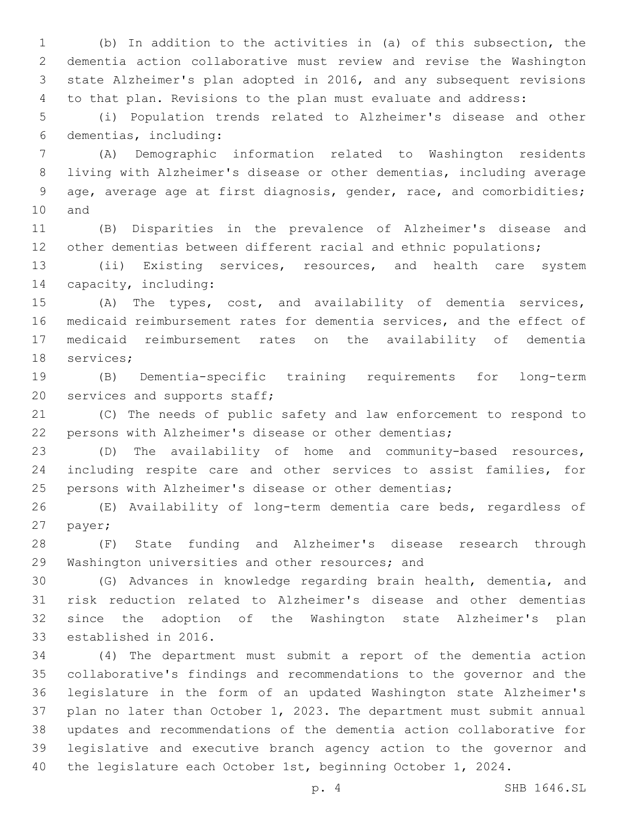(b) In addition to the activities in (a) of this subsection, the dementia action collaborative must review and revise the Washington state Alzheimer's plan adopted in 2016, and any subsequent revisions to that plan. Revisions to the plan must evaluate and address:

 (i) Population trends related to Alzheimer's disease and other dementias, including:6

 (A) Demographic information related to Washington residents living with Alzheimer's disease or other dementias, including average age, average age at first diagnosis, gender, race, and comorbidities; 10 and

 (B) Disparities in the prevalence of Alzheimer's disease and 12 other dementias between different racial and ethnic populations;

 (ii) Existing services, resources, and health care system 14 capacity, including:

 (A) The types, cost, and availability of dementia services, medicaid reimbursement rates for dementia services, and the effect of medicaid reimbursement rates on the availability of dementia 18 services;

 (B) Dementia-specific training requirements for long-term 20 services and supports staff;

 (C) The needs of public safety and law enforcement to respond to persons with Alzheimer's disease or other dementias;

 (D) The availability of home and community-based resources, including respite care and other services to assist families, for persons with Alzheimer's disease or other dementias;

 (E) Availability of long-term dementia care beds, regardless of 27 payer;

 (F) State funding and Alzheimer's disease research through 29 Washington universities and other resources; and

 (G) Advances in knowledge regarding brain health, dementia, and risk reduction related to Alzheimer's disease and other dementias since the adoption of the Washington state Alzheimer's plan 33 established in 2016.

 (4) The department must submit a report of the dementia action collaborative's findings and recommendations to the governor and the legislature in the form of an updated Washington state Alzheimer's plan no later than October 1, 2023. The department must submit annual updates and recommendations of the dementia action collaborative for legislative and executive branch agency action to the governor and 40 the legislature each October 1st, beginning October 1, 2024.